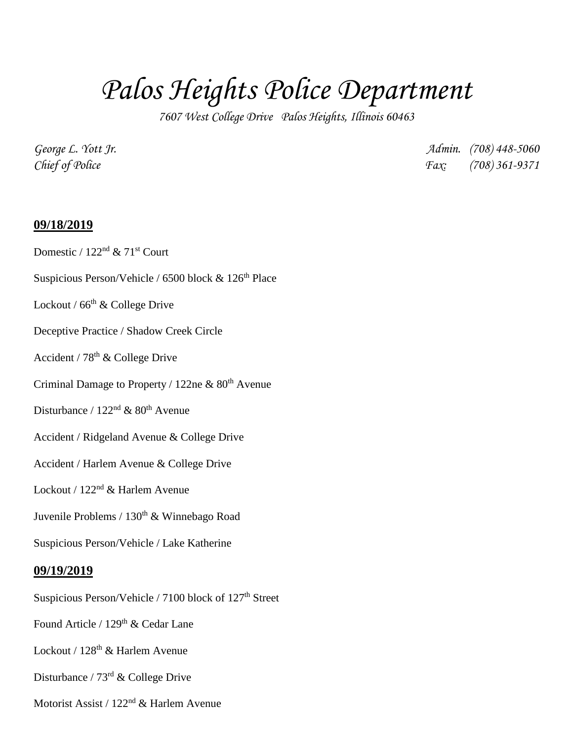## *Palos Heights Police Department*

*7607 West College Drive Palos Heights, Illinois 60463*

*George L. Yott Jr. Admin. (708) 448-5060 Chief of Police Fax: (708) 361-9371*

## **09/18/2019**

- Domestic /  $122<sup>nd</sup>$  &  $71<sup>st</sup>$  Court
- Suspicious Person/Vehicle / 6500 block  $& 126<sup>th</sup>$  Place
- Lockout /  $66<sup>th</sup>$  & College Drive
- Deceptive Practice / Shadow Creek Circle
- Accident /  $78<sup>th</sup>$  & College Drive
- Criminal Damage to Property / 122ne  $& 80<sup>th</sup>$  Avenue
- Disturbance /  $122<sup>nd</sup>$  &  $80<sup>th</sup>$  Avenue
- Accident / Ridgeland Avenue & College Drive
- Accident / Harlem Avenue & College Drive
- Lockout / 122<sup>nd</sup> & Harlem Avenue
- Juvenile Problems / 130<sup>th</sup> & Winnebago Road
- Suspicious Person/Vehicle / Lake Katherine

## **09/19/2019**

- Suspicious Person/Vehicle / 7100 block of 127<sup>th</sup> Street
- Found Article / 129<sup>th</sup> & Cedar Lane
- Lockout / 128<sup>th</sup> & Harlem Avenue
- Disturbance / 73rd & College Drive
- Motorist Assist / 122nd & Harlem Avenue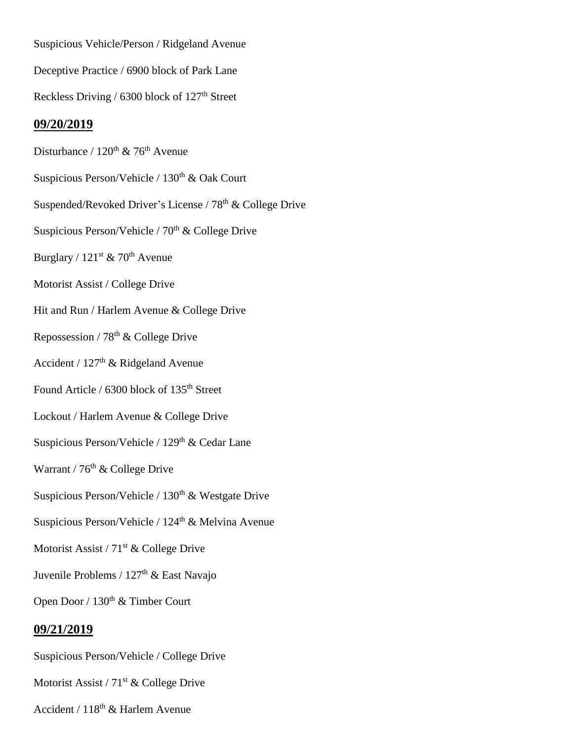Suspicious Vehicle/Person / Ridgeland Avenue Deceptive Practice / 6900 block of Park Lane Reckless Driving / 6300 block of 127<sup>th</sup> Street **09/20/2019** Disturbance /  $120^{th}$  & 76<sup>th</sup> Avenue Suspicious Person/Vehicle /  $130<sup>th</sup>$  & Oak Court Suspended/Revoked Driver's License / 78<sup>th</sup> & College Drive Suspicious Person/Vehicle /  $70<sup>th</sup>$  & College Drive Burglary /  $121^{st}$  &  $70^{th}$  Avenue Motorist Assist / College Drive Hit and Run / Harlem Avenue & College Drive Repossession /  $78<sup>th</sup>$  & College Drive Accident / 127<sup>th</sup> & Ridgeland Avenue Found Article / 6300 block of 135<sup>th</sup> Street Lockout / Harlem Avenue & College Drive Suspicious Person/Vehicle / 129<sup>th</sup> & Cedar Lane Warrant /  $76<sup>th</sup>$  & College Drive Suspicious Person/Vehicle /  $130<sup>th</sup>$  & Westgate Drive Suspicious Person/Vehicle / 124<sup>th</sup> & Melvina Avenue Motorist Assist /  $71<sup>st</sup>$  & College Drive Juvenile Problems / 127<sup>th</sup> & East Navajo Open Door / 130<sup>th</sup> & Timber Court **09/21/2019** Suspicious Person/Vehicle / College Drive

Motorist Assist /  $71<sup>st</sup>$  & College Drive

Accident / 118th & Harlem Avenue